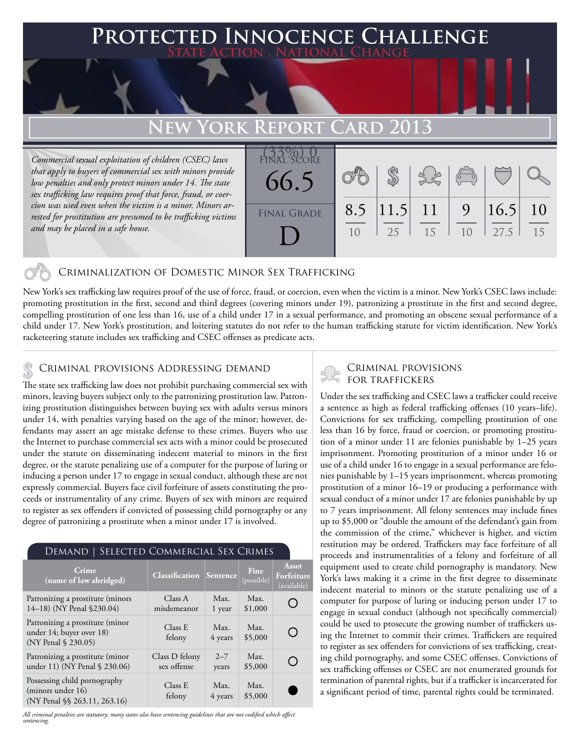# **PECTED INNOCENCE CHALLENGE State Action . National Change.**

# **New York Report Card 2013**

*Commercial sexual exploitation of children (CSEC) laws that apply to buyers of commercial sex with minors provide low penalties and only protect minors under 14. The state sex trafficking law requires proof that force, fraud, or coercion was used even when the victim is a minor. Minors arrested for prostitution are presumed to be trafficking victims and may be placed in a safe house.*



# Criminalization of Domestic Minor Sex Trafficking

New York's sex trafficking law requires proof of the use of force, fraud, or coercion, even when the victim is a minor. New York's CSEC laws include: promoting prostitution in the first, second and third degrees (covering minors under 19), patronizing a prostitute in the first and second degree, compelling prostitution of one less than 16, use of a child under 17 in a sexual performance, and promoting an obscene sexual performance of a child under 17. New York's prostitution, and loitering statutes do not refer to the human trafficking statute for victim identification. New York's racketeering statute includes sex trafficking and CSEC offenses as predicate acts.

## Criminal provisions Addressing demand \$

The state sex trafficking law does not prohibit purchasing commercial sex with minors, leaving buyers subject only to the patronizing prostitution law. Patronizing prostitution distinguishes between buying sex with adults versus minors under 14, with penalties varying based on the age of the minor; however, defendants may assert an age mistake defense to these crimes. Buyers who use the Internet to purchase commercial sex acts with a minor could be prosecuted under the statute on disseminating indecent material to minors in the first degree, or the statute penalizing use of a computer for the purpose of luring or inducing a person under 17 to engage in sexual conduct, although these are not expressly commercial. Buyers face civil forfeiture of assets constituting the proceeds or instrumentality of any crime. Buyers of sex with minors are required to register as sex offenders if convicted of possessing child pornography or any degree of patronizing a prostitute when a minor under 17 is involved.

#### Demand | Selected Commercial Sex Crimes

| <b>Crime</b><br>(name of law abridged)                                             | <b>Classification Sentence</b> |                  | <b>Fine</b><br>(possible) | Asset<br>Forfeiture<br>(available) |
|------------------------------------------------------------------------------------|--------------------------------|------------------|---------------------------|------------------------------------|
| Patronizing a prostitute (minors<br>14-18) (NY Penal §230.04)                      | Class A<br>misdemeanor         | Max.<br>1 year   | Max.<br>\$1,000           |                                    |
| Patronizing a prostitute (minor<br>under 14; buyer over 18)<br>(NY Penal § 230.05) | Class E<br>felony              | Max.<br>4 years  | Max.<br>\$5,000           |                                    |
| Patronizing a prostitute (minor<br>under 11) (NY Penal § 230.06)                   | Class D felony<br>sex offense  | $2 - 7$<br>years | Max.<br>\$5,000           |                                    |
| Possessing child pornography<br>(minors under 16)<br>(NY Penal §§ 263.11, 263.16)  | Class E<br>felony              | Max.<br>4 years  | Max.<br>\$5,000           |                                    |

*All criminal penalties are statutory; many states also have sentencing guidelines that are not codified which affect sentencing.* 

# Criminal provisions for traffickers

Under the sex trafficking and CSEC laws a trafficker could receive a sentence as high as federal trafficking offenses (10 years–life). Convictions for sex trafficking, compelling prostitution of one less than 16 by force, fraud or coercion, or promoting prostitution of a minor under 11 are felonies punishable by 1–25 years imprisonment. Promoting prostitution of a minor under 16 or use of a child under 16 to engage in a sexual performance are felonies punishable by 1–15 years imprisonment, whereas promoting prostitution of a minor 16–19 or producing a performance with sexual conduct of a minor under 17 are felonies punishable by up to 7 years imprisonment. All felony sentences may include fines up to \$5,000 or "double the amount of the defendant's gain from the commission of the crime," whichever is higher, and victim restitution may be ordered. Traffickers may face forfeiture of all proceeds and instrumentalities of a felony and forfeiture of all equipment used to create child pornography is mandatory. New York's laws making it a crime in the first degree to disseminate indecent material to minors or the statute penalizing use of a computer for purpose of luring or inducing person under 17 to engage in sexual conduct (although not specifically commercial) could be used to prosecute the growing number of traffickers using the Internet to commit their crimes. Traffickers are required to register as sex offenders for convictions of sex trafficking, creating child pornography, and some CSEC offenses. Convictions of sex trafficking offenses or CSEC are not enumerated grounds for termination of parental rights, but if a trafficker is incarcerated for a significant period of time, parental rights could be terminated.